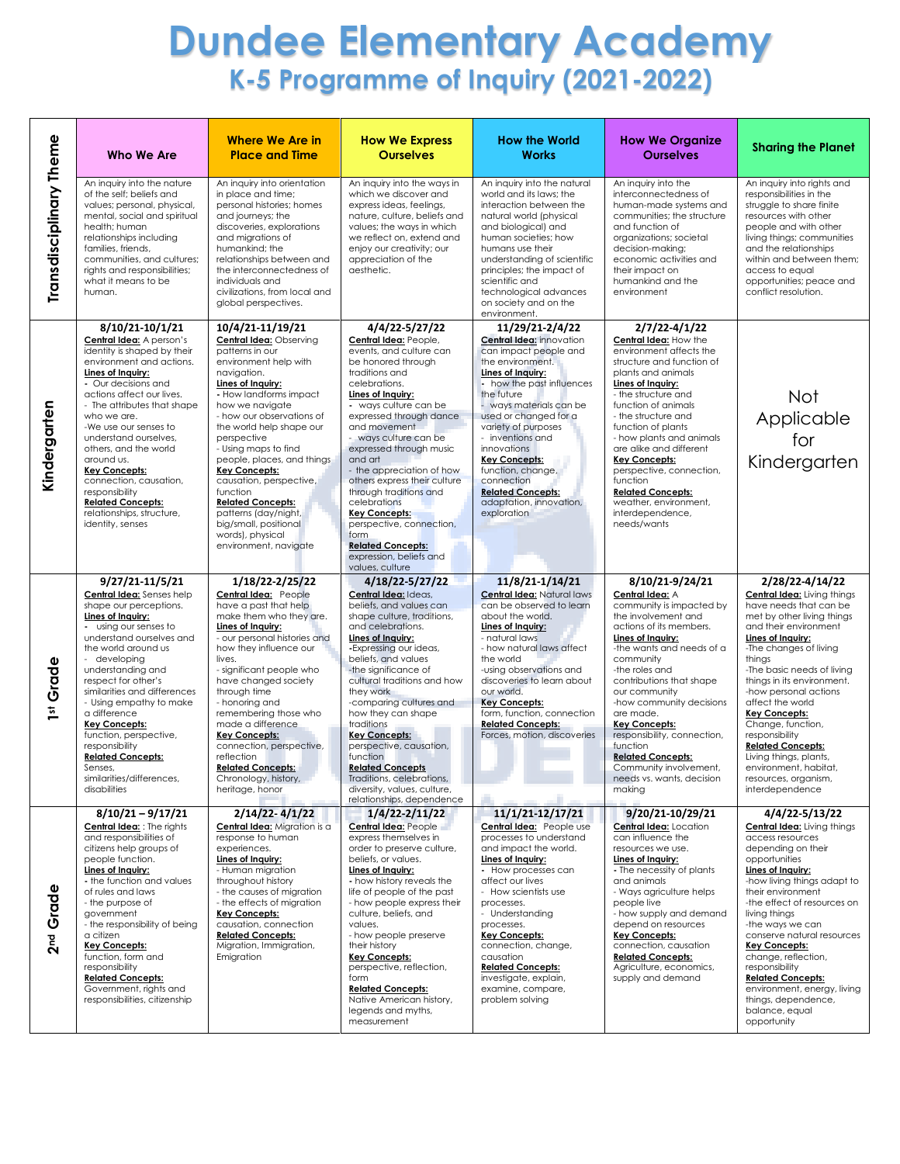## **Dundee Elementary Academy K-5 Programme of Inquiry (2021-2022)**

|                         | Who We Are                                                                                                                                                                                                                                                                                                                                                                                                                                                              | <b>Where We Are in</b><br><b>Place and Time</b>                                                                                                                                                                                                                                                                                                                                                                                                                                                        | <b>How We Express</b><br><b>Ourselves</b>                                                                                                                                                                                                                                                                                                                                                                                                                                                                                        | <b>How the World</b><br><b>Works</b>                                                                                                                                                                                                                                                                                                                                                                           | <b>How We Organize</b><br><b>Ourselves</b>                                                                                                                                                                                                                                                                                                                                                                                                              | <b>Sharing the Planet</b>                                                                                                                                                                                                                                                                                                                                                                                                                                                                         |
|-------------------------|-------------------------------------------------------------------------------------------------------------------------------------------------------------------------------------------------------------------------------------------------------------------------------------------------------------------------------------------------------------------------------------------------------------------------------------------------------------------------|--------------------------------------------------------------------------------------------------------------------------------------------------------------------------------------------------------------------------------------------------------------------------------------------------------------------------------------------------------------------------------------------------------------------------------------------------------------------------------------------------------|----------------------------------------------------------------------------------------------------------------------------------------------------------------------------------------------------------------------------------------------------------------------------------------------------------------------------------------------------------------------------------------------------------------------------------------------------------------------------------------------------------------------------------|----------------------------------------------------------------------------------------------------------------------------------------------------------------------------------------------------------------------------------------------------------------------------------------------------------------------------------------------------------------------------------------------------------------|---------------------------------------------------------------------------------------------------------------------------------------------------------------------------------------------------------------------------------------------------------------------------------------------------------------------------------------------------------------------------------------------------------------------------------------------------------|---------------------------------------------------------------------------------------------------------------------------------------------------------------------------------------------------------------------------------------------------------------------------------------------------------------------------------------------------------------------------------------------------------------------------------------------------------------------------------------------------|
| Transdisciplinary Theme | An inquiry into the nature<br>of the self; beliefs and<br>values; personal, physical,<br>mental, social and spiritual<br>health: human<br>relationships including<br>families, friends,<br>communities, and cultures;<br>rights and responsibilities;<br>what it means to be<br>human.                                                                                                                                                                                  | An inquiry into orientation<br>in place and time;<br>personal histories; homes<br>and journeys; the<br>discoveries, explorations<br>and migrations of<br>humankind; the<br>relationships between and<br>the interconnectedness of<br>individuals and<br>civilizations, from local and<br>global perspectives.                                                                                                                                                                                          | An inquiry into the ways in<br>which we discover and<br>express ideas, feelings,<br>nature, culture, beliefs and<br>values; the ways in which<br>we reflect on, extend and<br>enjoy our creativity; our<br>appreciation of the<br>aesthetic.                                                                                                                                                                                                                                                                                     | An inquiry into the natural<br>world and its laws; the<br>interaction between the<br>natural world (physical<br>and biological) and<br>human societies; how<br>humans use their<br>understanding of scientific<br>principles; the impact of<br>scientific and<br>technological advances<br>on society and on the<br>environment.                                                                               | An inquiry into the<br>interconnectedness of<br>human-made systems and<br>communities; the structure<br>and function of<br>organizations; societal<br>decision-making;<br>economic activities and<br>their impact on<br>humankind and the<br>environment                                                                                                                                                                                                | An inquiry into rights and<br>responsibilities in the<br>struggle to share finite<br>resources with other<br>people and with other<br>living things; communities<br>and the relationships<br>within and between them;<br>access to equal<br>opportunities; peace and<br>conflict resolution.                                                                                                                                                                                                      |
| Kindergarten            | 8/10/21-10/1/21<br>Central Idea: A person's<br>identity is shaped by their<br>environment and actions.<br>Lines of Inquiry:<br>- Our decisions and<br>actions affect our lives.<br>- The attributes that shape<br>who we are.<br>-We use our senses to<br>understand ourselves.<br>others, and the world<br>around us.<br><b>Key Concepts:</b><br>connection, causation,<br>responsibility<br><b>Related Concepts:</b><br>relationships, structure,<br>identity, senses | 10/4/21-11/19/21<br><b>Central Idea: Observing</b><br>patterns in our<br>environment help with<br>navigation.<br>Lines of Inquiry:<br>- How landforms impact<br>how we navigate<br>- how our observations of<br>the world help shape our<br>perspective<br>- Using maps to find<br>people, places, and things<br><b>Key Concepts:</b><br>causation, perspective,<br>function<br><b>Related Concepts:</b><br>patterns (day/night,<br>big/small, positional<br>words), physical<br>environment, navigate | 4/4/22-5/27/22<br>Central Idea: People,<br>events, and culture can<br>be honored through<br>traditions and<br>celebrations.<br>Lines of Inquiry:<br>- ways culture can be<br>expressed through dance<br>and movement<br>- ways culture can be<br>expressed through music<br>and art<br>- the appreciation of how<br>others express their culture<br>through traditions and<br>celebrations<br><b>Key Concepts:</b><br>perspective, connection,<br>form<br><b>Related Concepts:</b><br>expression, beliefs and<br>values, culture | 11/29/21-2/4/22<br><b>Central Idea: innovation</b><br>can impact people and<br>the environment.<br>Lines of Inquiry:<br>- how the past influences<br>the future<br>- ways materials can be<br>used or changed for a<br>variety of purposes<br>- inventions and<br>innovations<br><b>Key Concepts:</b><br>function, change,<br>connection<br><b>Related Concepts:</b><br>adaptation, innovation,<br>exploration | $2/7/22 - 4/1/22$<br>Central Idea: How the<br>environment affects the<br>structure and function of<br>plants and animals<br>Lines of Inquiry:<br>- the structure and<br>function of animals<br>- the structure and<br>function of plants<br>- how plants and animals<br>are alike and different<br><b>Key Concepts:</b><br>perspective, connection,<br>function<br><b>Related Concepts:</b><br>weather, environment,<br>interdependence,<br>needs/wants | <b>Not</b><br>Applicable<br>for<br>Kindergarten                                                                                                                                                                                                                                                                                                                                                                                                                                                   |
| 1st Grade               | 9/27/21-11/5/21<br>Central Idea: Senses help<br>shape our perceptions.<br>Lines of Inquiry:<br>- using our senses to<br>understand ourselves and<br>the world around us<br>developing<br>understanding and<br>respect for other's<br>similarities and differences<br>- Using empathy to make<br>a difference<br><b>Key Concepts:</b><br>function, perspective,<br>responsibility<br><b>Related Concepts:</b><br>Senses,<br>similarities/differences,<br>disabilities    | 1/18/22-2/25/22<br>Central Idea: People<br>have a past that help<br>make them who they are.<br>Lines of Inquiry:<br>- our personal histories and<br>how they influence our<br>lives.<br>- significant people who<br>have changed society<br>through time<br>- honoring and<br>remembering those who<br>made a difference<br><b>Key Concepts:</b><br>connection, perspective,<br>reflection<br><b>Related Concepts:</b><br>Chronology, history,<br>heritage, honor                                      | 4/18/22-5/27/22<br>Central Idea: Ideas,<br>beliefs, and values can<br>shape culture, traditions,<br>and celebrations.<br>Lines of Inquiry:<br>-Expressing our ideas,<br>beliefs, and values<br>-the significance of<br>cultural traditions and how<br>they work<br>-comparing cultures and<br>how they can shape<br>traditions<br><b>Key Concepts:</b><br>perspective, causation,<br>function<br><b>Related Concepts</b><br>Traditions, celebrations,<br>diversity, values, culture,<br>relationships, dependence                | 11/8/21-1/14/21<br><b>Central Idea: Natural laws</b><br>can be observed to learn<br>about the world.<br>Lines of Inquiry:<br>- natural laws<br>- how natural laws affect<br>the world<br>-using observations and<br>discoveries to learn about<br>our world.<br><b>Key Concepts:</b><br>form, function, connection<br><b>Related Concepts:</b><br>Forces, motion, discoveries                                  | 8/10/21-9/24/21<br>Central Idea: A<br>community is impacted by<br>the involvement and<br>actions of its members.<br>Lines of Inquiry:<br>-the wants and needs of a<br>community<br>-the roles and<br>contributions that shape<br>our community<br>-how community decisions<br>are made.<br><b>Key Concepts:</b><br>responsibility, connection,<br>function<br><b>Related Concepts:</b><br>Community involvement,<br>needs vs. wants, decision<br>making | 2/28/22-4/14/22<br><b>Central Idea: Living things</b><br>have needs that can be<br>met by other living things<br>and their environment<br>Lines of Inquiry:<br>-The changes of living<br>things<br>-The basic needs of living<br>things in its environment.<br>-how personal actions<br>affect the world<br><b>Key Concepts:</b><br>Change, function,<br>responsibility<br><b>Related Concepts:</b><br>Living things, plants,<br>environment, habitat,<br>resources, organism,<br>interdependence |
|                         | $8/10/21 - 9/17/21$<br><b>Central Idea:</b> : The rights                                                                                                                                                                                                                                                                                                                                                                                                                | $2/14/22 - 4/1/22$                                                                                                                                                                                                                                                                                                                                                                                                                                                                                     | 1/4/22-2/11/22                                                                                                                                                                                                                                                                                                                                                                                                                                                                                                                   | 11/1/21-12/17/21                                                                                                                                                                                                                                                                                                                                                                                               | 9/20/21-10/29/21                                                                                                                                                                                                                                                                                                                                                                                                                                        | 4/4/22-5/13/22                                                                                                                                                                                                                                                                                                                                                                                                                                                                                    |